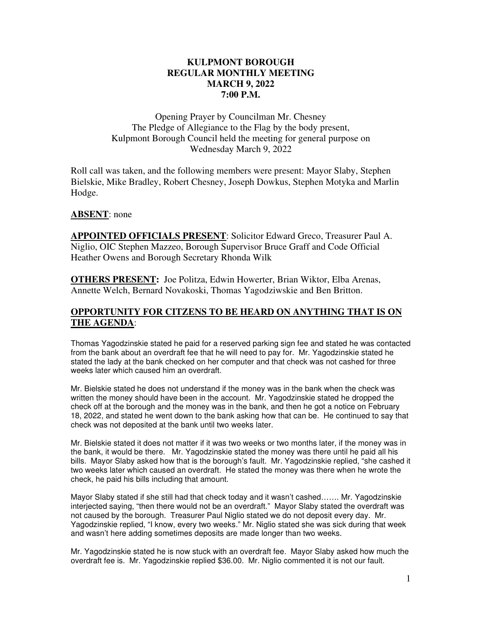### **KULPMONT BOROUGH REGULAR MONTHLY MEETING MARCH 9, 2022 7:00 P.M.**

Opening Prayer by Councilman Mr. Chesney The Pledge of Allegiance to the Flag by the body present, Kulpmont Borough Council held the meeting for general purpose on Wednesday March 9, 2022

Roll call was taken, and the following members were present: Mayor Slaby, Stephen Bielskie, Mike Bradley, Robert Chesney, Joseph Dowkus, Stephen Motyka and Marlin Hodge.

#### **ABSENT**: none

**APPOINTED OFFICIALS PRESENT**: Solicitor Edward Greco, Treasurer Paul A. Niglio, OIC Stephen Mazzeo, Borough Supervisor Bruce Graff and Code Official Heather Owens and Borough Secretary Rhonda Wilk

**OTHERS PRESENT:** Joe Politza, Edwin Howerter, Brian Wiktor, Elba Arenas, Annette Welch, Bernard Novakoski, Thomas Yagodziwskie and Ben Britton.

### **OPPORTUNITY FOR CITZENS TO BE HEARD ON ANYTHING THAT IS ON THE AGENDA**:

Thomas Yagodzinskie stated he paid for a reserved parking sign fee and stated he was contacted from the bank about an overdraft fee that he will need to pay for. Mr. Yagodzinskie stated he stated the lady at the bank checked on her computer and that check was not cashed for three weeks later which caused him an overdraft.

Mr. Bielskie stated he does not understand if the money was in the bank when the check was written the money should have been in the account. Mr. Yagodzinskie stated he dropped the check off at the borough and the money was in the bank, and then he got a notice on February 18, 2022, and stated he went down to the bank asking how that can be. He continued to say that check was not deposited at the bank until two weeks later.

Mr. Bielskie stated it does not matter if it was two weeks or two months later, if the money was in the bank, it would be there. Mr. Yagodzinskie stated the money was there until he paid all his bills. Mayor Slaby asked how that is the borough's fault. Mr. Yagodzinskie replied, "she cashed it two weeks later which caused an overdraft. He stated the money was there when he wrote the check, he paid his bills including that amount.

Mayor Slaby stated if she still had that check today and it wasn't cashed……. Mr. Yagodzinskie interjected saying, "then there would not be an overdraft." Mayor Slaby stated the overdraft was not caused by the borough. Treasurer Paul Niglio stated we do not deposit every day. Mr. Yagodzinskie replied, "I know, every two weeks." Mr. Niglio stated she was sick during that week and wasn't here adding sometimes deposits are made longer than two weeks.

Mr. Yagodzinskie stated he is now stuck with an overdraft fee. Mayor Slaby asked how much the overdraft fee is. Mr. Yagodzinskie replied \$36.00. Mr. Niglio commented it is not our fault.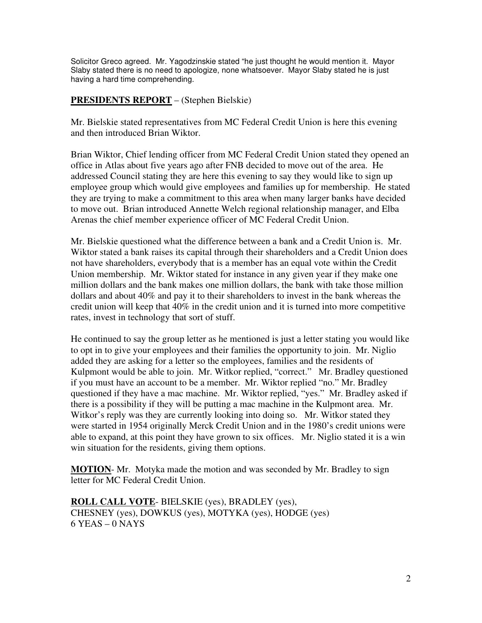Solicitor Greco agreed. Mr. Yagodzinskie stated "he just thought he would mention it. Mayor Slaby stated there is no need to apologize, none whatsoever. Mayor Slaby stated he is just having a hard time comprehending.

#### **PRESIDENTS REPORT** – (Stephen Bielskie)

Mr. Bielskie stated representatives from MC Federal Credit Union is here this evening and then introduced Brian Wiktor.

Brian Wiktor, Chief lending officer from MC Federal Credit Union stated they opened an office in Atlas about five years ago after FNB decided to move out of the area. He addressed Council stating they are here this evening to say they would like to sign up employee group which would give employees and families up for membership. He stated they are trying to make a commitment to this area when many larger banks have decided to move out. Brian introduced Annette Welch regional relationship manager, and Elba Arenas the chief member experience officer of MC Federal Credit Union.

Mr. Bielskie questioned what the difference between a bank and a Credit Union is. Mr. Wiktor stated a bank raises its capital through their shareholders and a Credit Union does not have shareholders, everybody that is a member has an equal vote within the Credit Union membership. Mr. Wiktor stated for instance in any given year if they make one million dollars and the bank makes one million dollars, the bank with take those million dollars and about 40% and pay it to their shareholders to invest in the bank whereas the credit union will keep that  $40\%$  in the credit union and it is turned into more competitive rates, invest in technology that sort of stuff.

He continued to say the group letter as he mentioned is just a letter stating you would like to opt in to give your employees and their families the opportunity to join. Mr. Niglio added they are asking for a letter so the employees, families and the residents of Kulpmont would be able to join. Mr. Witkor replied, "correct." Mr. Bradley questioned if you must have an account to be a member. Mr. Wiktor replied "no." Mr. Bradley questioned if they have a mac machine. Mr. Wiktor replied, "yes." Mr. Bradley asked if there is a possibility if they will be putting a mac machine in the Kulpmont area. Mr. Witkor's reply was they are currently looking into doing so. Mr. Witkor stated they were started in 1954 originally Merck Credit Union and in the 1980's credit unions were able to expand, at this point they have grown to six offices. Mr. Niglio stated it is a win win situation for the residents, giving them options.

**MOTION**- Mr. Motyka made the motion and was seconded by Mr. Bradley to sign letter for MC Federal Credit Union.

**ROLL CALL VOTE**- BIELSKIE (yes), BRADLEY (yes), CHESNEY (yes), DOWKUS (yes), MOTYKA (yes), HODGE (yes) 6 YEAS – 0 NAYS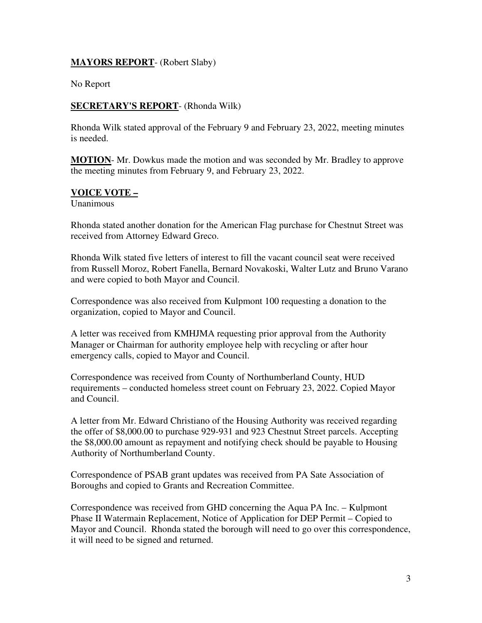#### **MAYORS REPORT**- (Robert Slaby)

No Report

#### **SECRETARY'S REPORT**- (Rhonda Wilk)

Rhonda Wilk stated approval of the February 9 and February 23, 2022, meeting minutes is needed.

**MOTION**- Mr. Dowkus made the motion and was seconded by Mr. Bradley to approve the meeting minutes from February 9, and February 23, 2022.

#### **VOICE VOTE –**

Unanimous

Rhonda stated another donation for the American Flag purchase for Chestnut Street was received from Attorney Edward Greco.

Rhonda Wilk stated five letters of interest to fill the vacant council seat were received from Russell Moroz, Robert Fanella, Bernard Novakoski, Walter Lutz and Bruno Varano and were copied to both Mayor and Council.

Correspondence was also received from Kulpmont 100 requesting a donation to the organization, copied to Mayor and Council.

A letter was received from KMHJMA requesting prior approval from the Authority Manager or Chairman for authority employee help with recycling or after hour emergency calls, copied to Mayor and Council.

Correspondence was received from County of Northumberland County, HUD requirements – conducted homeless street count on February 23, 2022. Copied Mayor and Council.

A letter from Mr. Edward Christiano of the Housing Authority was received regarding the offer of \$8,000.00 to purchase 929-931 and 923 Chestnut Street parcels. Accepting the \$8,000.00 amount as repayment and notifying check should be payable to Housing Authority of Northumberland County.

Correspondence of PSAB grant updates was received from PA Sate Association of Boroughs and copied to Grants and Recreation Committee.

Correspondence was received from GHD concerning the Aqua PA Inc. – Kulpmont Phase II Watermain Replacement, Notice of Application for DEP Permit – Copied to Mayor and Council. Rhonda stated the borough will need to go over this correspondence, it will need to be signed and returned.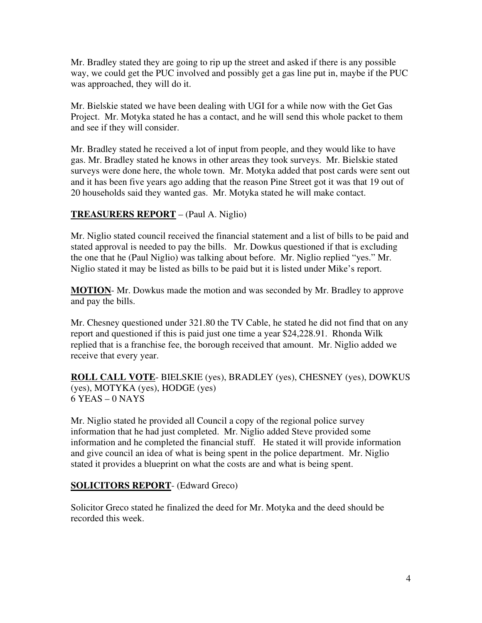Mr. Bradley stated they are going to rip up the street and asked if there is any possible way, we could get the PUC involved and possibly get a gas line put in, maybe if the PUC was approached, they will do it.

Mr. Bielskie stated we have been dealing with UGI for a while now with the Get Gas Project. Mr. Motyka stated he has a contact, and he will send this whole packet to them and see if they will consider.

Mr. Bradley stated he received a lot of input from people, and they would like to have gas. Mr. Bradley stated he knows in other areas they took surveys. Mr. Bielskie stated surveys were done here, the whole town. Mr. Motyka added that post cards were sent out and it has been five years ago adding that the reason Pine Street got it was that 19 out of 20 households said they wanted gas. Mr. Motyka stated he will make contact.

## **TREASURERS REPORT** – (Paul A. Niglio)

Mr. Niglio stated council received the financial statement and a list of bills to be paid and stated approval is needed to pay the bills. Mr. Dowkus questioned if that is excluding the one that he (Paul Niglio) was talking about before. Mr. Niglio replied "yes." Mr. Niglio stated it may be listed as bills to be paid but it is listed under Mike's report.

**MOTION**- Mr. Dowkus made the motion and was seconded by Mr. Bradley to approve and pay the bills.

Mr. Chesney questioned under 321.80 the TV Cable, he stated he did not find that on any report and questioned if this is paid just one time a year \$24,228.91. Rhonda Wilk replied that is a franchise fee, the borough received that amount. Mr. Niglio added we receive that every year.

**ROLL CALL VOTE**- BIELSKIE (yes), BRADLEY (yes), CHESNEY (yes), DOWKUS (yes), MOTYKA (yes), HODGE (yes) 6 YEAS – 0 NAYS

Mr. Niglio stated he provided all Council a copy of the regional police survey information that he had just completed. Mr. Niglio added Steve provided some information and he completed the financial stuff. He stated it will provide information and give council an idea of what is being spent in the police department. Mr. Niglio stated it provides a blueprint on what the costs are and what is being spent.

### **SOLICITORS REPORT**- (Edward Greco)

Solicitor Greco stated he finalized the deed for Mr. Motyka and the deed should be recorded this week.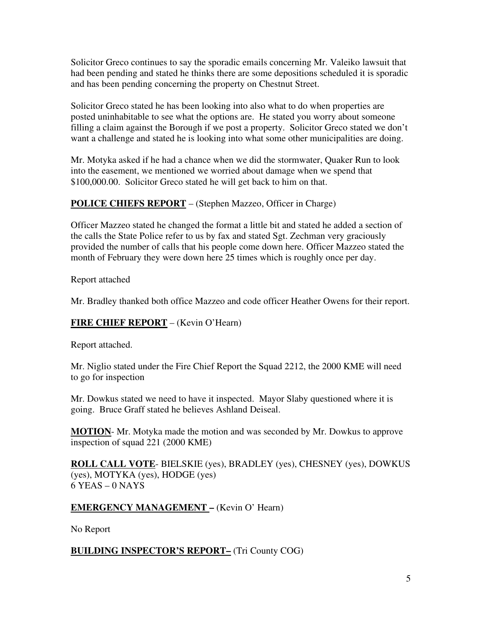Solicitor Greco continues to say the sporadic emails concerning Mr. Valeiko lawsuit that had been pending and stated he thinks there are some depositions scheduled it is sporadic and has been pending concerning the property on Chestnut Street.

Solicitor Greco stated he has been looking into also what to do when properties are posted uninhabitable to see what the options are. He stated you worry about someone filling a claim against the Borough if we post a property. Solicitor Greco stated we don't want a challenge and stated he is looking into what some other municipalities are doing.

Mr. Motyka asked if he had a chance when we did the stormwater, Quaker Run to look into the easement, we mentioned we worried about damage when we spend that \$100,000.00. Solicitor Greco stated he will get back to him on that.

# **POLICE CHIEFS REPORT** – (Stephen Mazzeo, Officer in Charge)

Officer Mazzeo stated he changed the format a little bit and stated he added a section of the calls the State Police refer to us by fax and stated Sgt. Zechman very graciously provided the number of calls that his people come down here. Officer Mazzeo stated the month of February they were down here 25 times which is roughly once per day.

Report attached

Mr. Bradley thanked both office Mazzeo and code officer Heather Owens for their report.

## **FIRE CHIEF REPORT** – (Kevin O'Hearn)

Report attached.

Mr. Niglio stated under the Fire Chief Report the Squad 2212, the 2000 KME will need to go for inspection

Mr. Dowkus stated we need to have it inspected. Mayor Slaby questioned where it is going. Bruce Graff stated he believes Ashland Deiseal.

**MOTION**- Mr. Motyka made the motion and was seconded by Mr. Dowkus to approve inspection of squad 221 (2000 KME)

**ROLL CALL VOTE**- BIELSKIE (yes), BRADLEY (yes), CHESNEY (yes), DOWKUS (yes), MOTYKA (yes), HODGE (yes)  $6$  YEAS – 0 NAYS

## **EMERGENCY MANAGEMENT –** (Kevin O' Hearn)

No Report

## **BUILDING INSPECTOR'S REPORT–** (Tri County COG)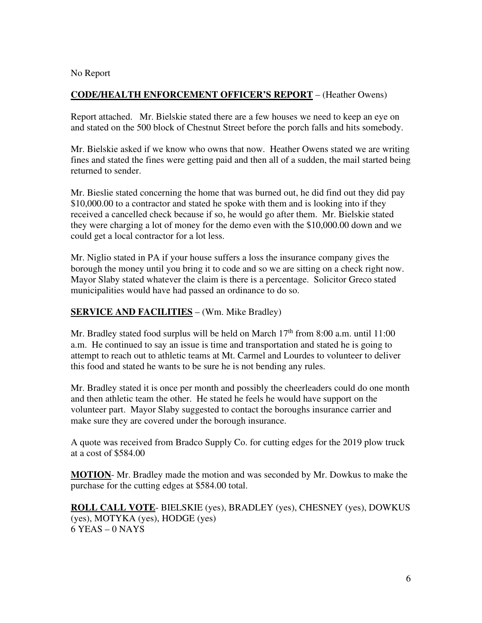#### No Report

#### **CODE/HEALTH ENFORCEMENT OFFICER'S REPORT** – (Heather Owens)

Report attached. Mr. Bielskie stated there are a few houses we need to keep an eye on and stated on the 500 block of Chestnut Street before the porch falls and hits somebody.

Mr. Bielskie asked if we know who owns that now. Heather Owens stated we are writing fines and stated the fines were getting paid and then all of a sudden, the mail started being returned to sender.

Mr. Bieslie stated concerning the home that was burned out, he did find out they did pay \$10,000.00 to a contractor and stated he spoke with them and is looking into if they received a cancelled check because if so, he would go after them. Mr. Bielskie stated they were charging a lot of money for the demo even with the \$10,000.00 down and we could get a local contractor for a lot less.

Mr. Niglio stated in PA if your house suffers a loss the insurance company gives the borough the money until you bring it to code and so we are sitting on a check right now. Mayor Slaby stated whatever the claim is there is a percentage. Solicitor Greco stated municipalities would have had passed an ordinance to do so.

#### **SERVICE AND FACILITIES** – (Wm. Mike Bradley)

Mr. Bradley stated food surplus will be held on March  $17<sup>th</sup>$  from 8:00 a.m. until 11:00 a.m. He continued to say an issue is time and transportation and stated he is going to attempt to reach out to athletic teams at Mt. Carmel and Lourdes to volunteer to deliver this food and stated he wants to be sure he is not bending any rules.

Mr. Bradley stated it is once per month and possibly the cheerleaders could do one month and then athletic team the other. He stated he feels he would have support on the volunteer part. Mayor Slaby suggested to contact the boroughs insurance carrier and make sure they are covered under the borough insurance.

A quote was received from Bradco Supply Co. for cutting edges for the 2019 plow truck at a cost of \$584.00

**MOTION**- Mr. Bradley made the motion and was seconded by Mr. Dowkus to make the purchase for the cutting edges at \$584.00 total.

**ROLL CALL VOTE**- BIELSKIE (yes), BRADLEY (yes), CHESNEY (yes), DOWKUS (yes), MOTYKA (yes), HODGE (yes) 6 YEAS – 0 NAYS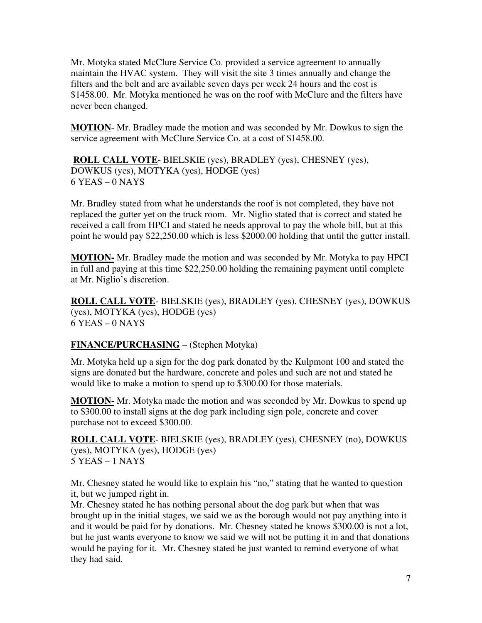Mr. Motyka stated McClure Service Co. provided a service agreement to annually maintain the HVAC system. They will visit the site 3 times annually and change the filters and the belt and are available seven days per week 24 hours and the cost is \$1458.00. Mr. Motyka mentioned he was on the roof with McClure and the filters have never been changed.

**MOTION**- Mr. Bradley made the motion and was seconded by Mr. Dowkus to sign the service agreement with McClure Service Co. at a cost of \$1458.00.

**ROLL CALL VOTE**- BIELSKIE (yes), BRADLEY (yes), CHESNEY (yes), DOWKUS (yes), MOTYKA (yes), HODGE (yes)  $6$  YEAS – 0 NAYS

Mr. Bradley stated from what he understands the roof is not completed, they have not replaced the gutter yet on the truck room. Mr. Niglio stated that is correct and stated he received a call from HPCI and stated he needs approval to pay the whole bill, but at this point he would pay \$22,250.00 which is less \$2000.00 holding that until the gutter install.

**MOTION-** Mr. Bradley made the motion and was seconded by Mr. Motyka to pay HPCI in full and paying at this time \$22,250.00 holding the remaining payment until complete at Mr. Niglio's discretion.

**ROLL CALL VOTE**- BIELSKIE (yes), BRADLEY (yes), CHESNEY (yes), DOWKUS (yes), MOTYKA (yes), HODGE (yes) 6 YEAS – 0 NAYS

## **FINANCE/PURCHASING** – (Stephen Motyka)

Mr. Motyka held up a sign for the dog park donated by the Kulpmont 100 and stated the signs are donated but the hardware, concrete and poles and such are not and stated he would like to make a motion to spend up to \$300.00 for those materials.

**MOTION-** Mr. Motyka made the motion and was seconded by Mr. Dowkus to spend up to \$300.00 to install signs at the dog park including sign pole, concrete and cover purchase not to exceed \$300.00.

**ROLL CALL VOTE**- BIELSKIE (yes), BRADLEY (yes), CHESNEY (no), DOWKUS (yes), MOTYKA (yes), HODGE (yes) 5 YEAS – 1 NAYS

Mr. Chesney stated he would like to explain his "no," stating that he wanted to question it, but we jumped right in.

Mr. Chesney stated he has nothing personal about the dog park but when that was brought up in the initial stages, we said we as the borough would not pay anything into it and it would be paid for by donations. Mr. Chesney stated he knows \$300.00 is not a lot, but he just wants everyone to know we said we will not be putting it in and that donations would be paying for it. Mr. Chesney stated he just wanted to remind everyone of what they had said.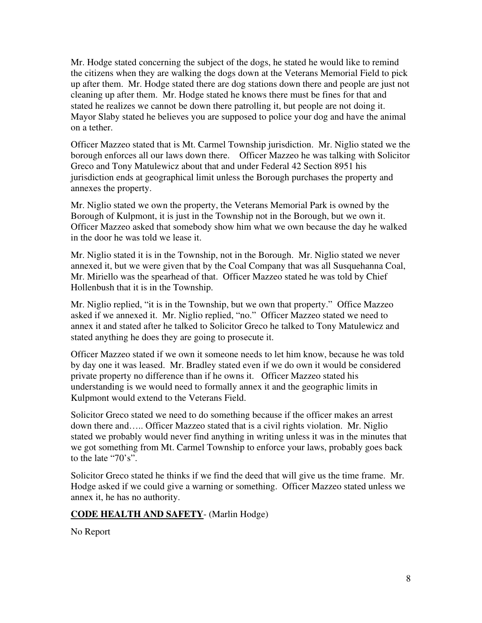Mr. Hodge stated concerning the subject of the dogs, he stated he would like to remind the citizens when they are walking the dogs down at the Veterans Memorial Field to pick up after them. Mr. Hodge stated there are dog stations down there and people are just not cleaning up after them. Mr. Hodge stated he knows there must be fines for that and stated he realizes we cannot be down there patrolling it, but people are not doing it. Mayor Slaby stated he believes you are supposed to police your dog and have the animal on a tether.

Officer Mazzeo stated that is Mt. Carmel Township jurisdiction. Mr. Niglio stated we the borough enforces all our laws down there. Officer Mazzeo he was talking with Solicitor Greco and Tony Matulewicz about that and under Federal 42 Section 8951 his jurisdiction ends at geographical limit unless the Borough purchases the property and annexes the property.

Mr. Niglio stated we own the property, the Veterans Memorial Park is owned by the Borough of Kulpmont, it is just in the Township not in the Borough, but we own it. Officer Mazzeo asked that somebody show him what we own because the day he walked in the door he was told we lease it.

Mr. Niglio stated it is in the Township, not in the Borough. Mr. Niglio stated we never annexed it, but we were given that by the Coal Company that was all Susquehanna Coal, Mr. Miriello was the spearhead of that. Officer Mazzeo stated he was told by Chief Hollenbush that it is in the Township.

Mr. Niglio replied, "it is in the Township, but we own that property." Office Mazzeo asked if we annexed it. Mr. Niglio replied, "no." Officer Mazzeo stated we need to annex it and stated after he talked to Solicitor Greco he talked to Tony Matulewicz and stated anything he does they are going to prosecute it.

Officer Mazzeo stated if we own it someone needs to let him know, because he was told by day one it was leased. Mr. Bradley stated even if we do own it would be considered private property no difference than if he owns it. Officer Mazzeo stated his understanding is we would need to formally annex it and the geographic limits in Kulpmont would extend to the Veterans Field.

Solicitor Greco stated we need to do something because if the officer makes an arrest down there and….. Officer Mazzeo stated that is a civil rights violation. Mr. Niglio stated we probably would never find anything in writing unless it was in the minutes that we got something from Mt. Carmel Township to enforce your laws, probably goes back to the late "70's".

Solicitor Greco stated he thinks if we find the deed that will give us the time frame. Mr. Hodge asked if we could give a warning or something. Officer Mazzeo stated unless we annex it, he has no authority.

### **CODE HEALTH AND SAFETY**- (Marlin Hodge)

No Report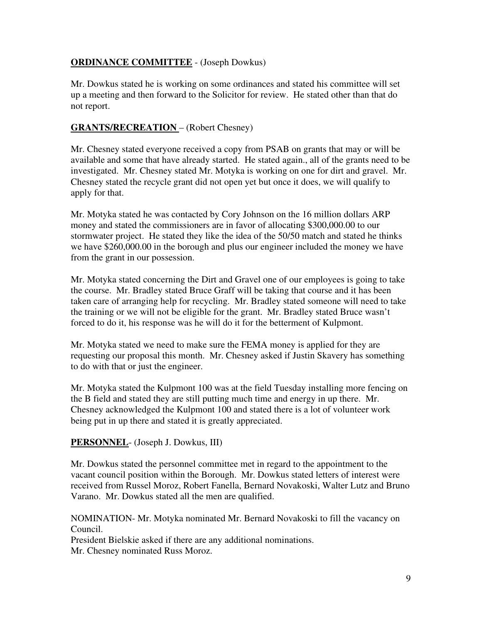## **ORDINANCE COMMITTEE** - (Joseph Dowkus)

Mr. Dowkus stated he is working on some ordinances and stated his committee will set up a meeting and then forward to the Solicitor for review. He stated other than that do not report.

### **GRANTS/RECREATION** – (Robert Chesney)

Mr. Chesney stated everyone received a copy from PSAB on grants that may or will be available and some that have already started. He stated again., all of the grants need to be investigated. Mr. Chesney stated Mr. Motyka is working on one for dirt and gravel. Mr. Chesney stated the recycle grant did not open yet but once it does, we will qualify to apply for that.

Mr. Motyka stated he was contacted by Cory Johnson on the 16 million dollars ARP money and stated the commissioners are in favor of allocating \$300,000.00 to our stormwater project. He stated they like the idea of the 50/50 match and stated he thinks we have \$260,000.00 in the borough and plus our engineer included the money we have from the grant in our possession.

Mr. Motyka stated concerning the Dirt and Gravel one of our employees is going to take the course. Mr. Bradley stated Bruce Graff will be taking that course and it has been taken care of arranging help for recycling. Mr. Bradley stated someone will need to take the training or we will not be eligible for the grant. Mr. Bradley stated Bruce wasn't forced to do it, his response was he will do it for the betterment of Kulpmont.

Mr. Motyka stated we need to make sure the FEMA money is applied for they are requesting our proposal this month. Mr. Chesney asked if Justin Skavery has something to do with that or just the engineer.

Mr. Motyka stated the Kulpmont 100 was at the field Tuesday installing more fencing on the B field and stated they are still putting much time and energy in up there. Mr. Chesney acknowledged the Kulpmont 100 and stated there is a lot of volunteer work being put in up there and stated it is greatly appreciated.

### **PERSONNEL**- (Joseph J. Dowkus, III)

Mr. Dowkus stated the personnel committee met in regard to the appointment to the vacant council position within the Borough. Mr. Dowkus stated letters of interest were received from Russel Moroz, Robert Fanella, Bernard Novakoski, Walter Lutz and Bruno Varano. Mr. Dowkus stated all the men are qualified.

NOMINATION- Mr. Motyka nominated Mr. Bernard Novakoski to fill the vacancy on Council.

President Bielskie asked if there are any additional nominations.

Mr. Chesney nominated Russ Moroz.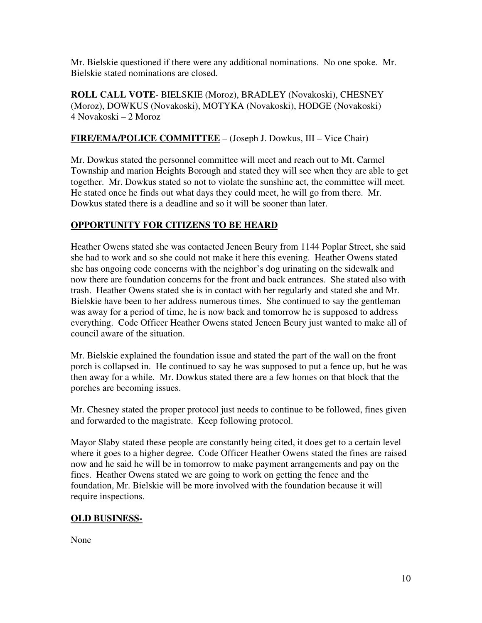Mr. Bielskie questioned if there were any additional nominations. No one spoke. Mr. Bielskie stated nominations are closed.

**ROLL CALL VOTE**- BIELSKIE (Moroz), BRADLEY (Novakoski), CHESNEY (Moroz), DOWKUS (Novakoski), MOTYKA (Novakoski), HODGE (Novakoski) 4 Novakoski – 2 Moroz

## **FIRE/EMA/POLICE COMMITTEE** – (Joseph J. Dowkus, III – Vice Chair)

Mr. Dowkus stated the personnel committee will meet and reach out to Mt. Carmel Township and marion Heights Borough and stated they will see when they are able to get together. Mr. Dowkus stated so not to violate the sunshine act, the committee will meet. He stated once he finds out what days they could meet, he will go from there. Mr. Dowkus stated there is a deadline and so it will be sooner than later.

### **OPPORTUNITY FOR CITIZENS TO BE HEARD**

Heather Owens stated she was contacted Jeneen Beury from 1144 Poplar Street, she said she had to work and so she could not make it here this evening. Heather Owens stated she has ongoing code concerns with the neighbor's dog urinating on the sidewalk and now there are foundation concerns for the front and back entrances. She stated also with trash. Heather Owens stated she is in contact with her regularly and stated she and Mr. Bielskie have been to her address numerous times. She continued to say the gentleman was away for a period of time, he is now back and tomorrow he is supposed to address everything. Code Officer Heather Owens stated Jeneen Beury just wanted to make all of council aware of the situation.

Mr. Bielskie explained the foundation issue and stated the part of the wall on the front porch is collapsed in. He continued to say he was supposed to put a fence up, but he was then away for a while. Mr. Dowkus stated there are a few homes on that block that the porches are becoming issues.

Mr. Chesney stated the proper protocol just needs to continue to be followed, fines given and forwarded to the magistrate. Keep following protocol.

Mayor Slaby stated these people are constantly being cited, it does get to a certain level where it goes to a higher degree. Code Officer Heather Owens stated the fines are raised now and he said he will be in tomorrow to make payment arrangements and pay on the fines. Heather Owens stated we are going to work on getting the fence and the foundation, Mr. Bielskie will be more involved with the foundation because it will require inspections.

### **OLD BUSINESS-**

None